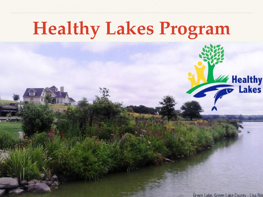## **Healthy Lakes Program**

Green Lake, Green Lake County - Lisa Rea

Healthy<br>To Lakes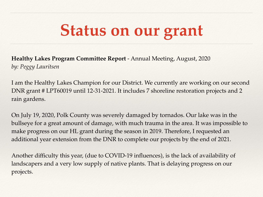#### **Status on our grant**

**Healthy Lakes Program Committee Report** - Annual Meeting, August, 2020 *by: Peggy Lauritsen*

I am the Healthy Lakes Champion for our District. We currently are working on our second DNR grant # LPT60019 until 12-31-2021. It includes 7 shoreline restoration projects and 2 rain gardens.

On July 19, 2020, Polk County was severely damaged by tornados. Our lake was in the bullseye for a great amount of damage, with much trauma in the area. It was impossible to make progress on our HL grant during the season in 2019. Therefore, I requested an additional year extension from the DNR to complete our projects by the end of 2021.

Another difficulty this year, (due to COVID-19 influences), is the lack of availability of landscapers and a very low supply of native plants. That is delaying progress on our projects.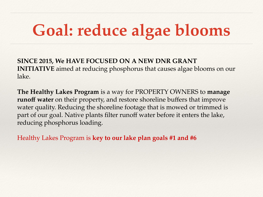### **Goal: reduce algae blooms**

**SINCE 2015, We HAVE FOCUSED ON A NEW DNR GRANT INITIATIVE** aimed at reducing phosphorus that causes algae blooms on our lake.

**The Healthy Lakes Program** is a way for PROPERTY OWNERS to **manage**  runoff water on their property, and restore shoreline buffers that improve water quality. Reducing the shoreline footage that is mowed or trimmed is part of our goal. Native plants filter runoff water before it enters the lake, reducing phosphorus loading.

Healthy Lakes Program is **key to our lake plan goals #1 and #6**